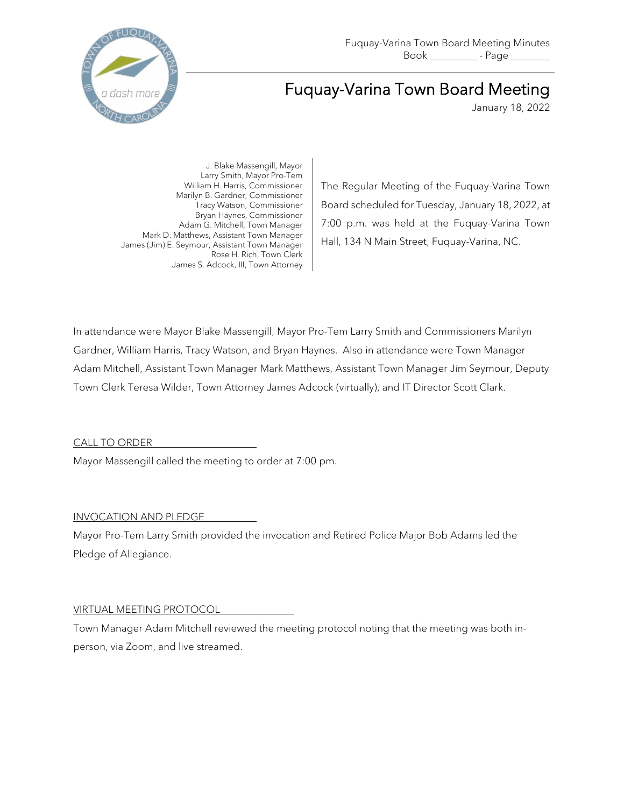

# Fuquay-Varina Town Board Meeting

January 18, 2022

J. Blake Massengill, Mayor Larry Smith, Mayor Pro-Tem William H. Harris, Commissioner Marilyn B. Gardner, Commissioner Tracy Watson, Commissioner Bryan Haynes, Commissioner Adam G. Mitchell, Town Manager Mark D. Matthews, Assistant Town Manager James (Jim) E. Seymour, Assistant Town Manager Rose H. Rich, Town Clerk James S. Adcock, III, Town Attorney

The Regular Meeting of the Fuquay-Varina Town Board scheduled for Tuesday, January 18, 2022, at 7:00 p.m. was held at the Fuquay-Varina Town Hall, 134 N Main Street, Fuquay-Varina, NC.

In attendance were Mayor Blake Massengill, Mayor Pro-Tem Larry Smith and Commissioners Marilyn Gardner, William Harris, Tracy Watson, and Bryan Haynes. Also in attendance were Town Manager Adam Mitchell, Assistant Town Manager Mark Matthews, Assistant Town Manager Jim Seymour, Deputy Town Clerk Teresa Wilder, Town Attorney James Adcock (virtually), and IT Director Scott Clark.

CALL TO ORDER

Mayor Massengill called the meeting to order at 7:00 pm.

## INVOCATION AND PLEDGE

Mayor Pro-Tem Larry Smith provided the invocation and Retired Police Major Bob Adams led the Pledge of Allegiance.

## VIRTUAL MEETING PROTOCOL

Town Manager Adam Mitchell reviewed the meeting protocol noting that the meeting was both inperson, via Zoom, and live streamed.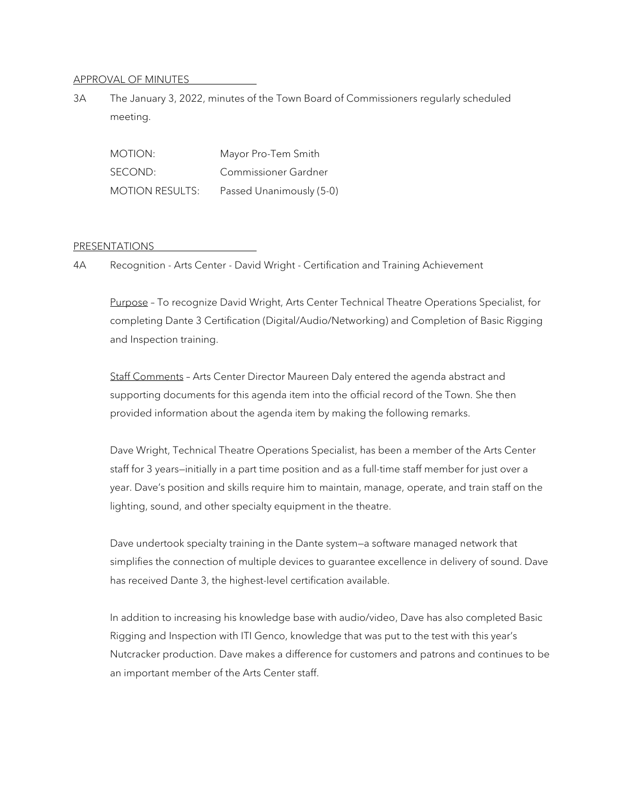#### APPROVAL OF MINUTES

3A The January 3, 2022, minutes of the Town Board of Commissioners regularly scheduled meeting.

MOTION: Mayor Pro-Tem Smith SECOND: Commissioner Gardner MOTION RESULTS: Passed Unanimously (5-0)

#### PRESENTATIONS

4A Recognition - Arts Center - David Wright - Certification and Training Achievement

Purpose - To recognize David Wright, Arts Center Technical Theatre Operations Specialist, for completing Dante 3 Certification (Digital/Audio/Networking) and Completion of Basic Rigging and Inspection training.

Staff Comments – Arts Center Director Maureen Daly entered the agenda abstract and supporting documents for this agenda item into the official record of the Town. She then provided information about the agenda item by making the following remarks.

Dave Wright, Technical Theatre Operations Specialist, has been a member of the Arts Center staff for 3 years—initially in a part time position and as a full-time staff member for just over a year. Dave's position and skills require him to maintain, manage, operate, and train staff on the lighting, sound, and other specialty equipment in the theatre.

Dave undertook specialty training in the Dante system—a software managed network that simplifies the connection of multiple devices to guarantee excellence in delivery of sound. Dave has received Dante 3, the highest-level certification available.

In addition to increasing his knowledge base with audio/video, Dave has also completed Basic Rigging and Inspection with ITI Genco, knowledge that was put to the test with this year's Nutcracker production. Dave makes a difference for customers and patrons and continues to be an important member of the Arts Center staff.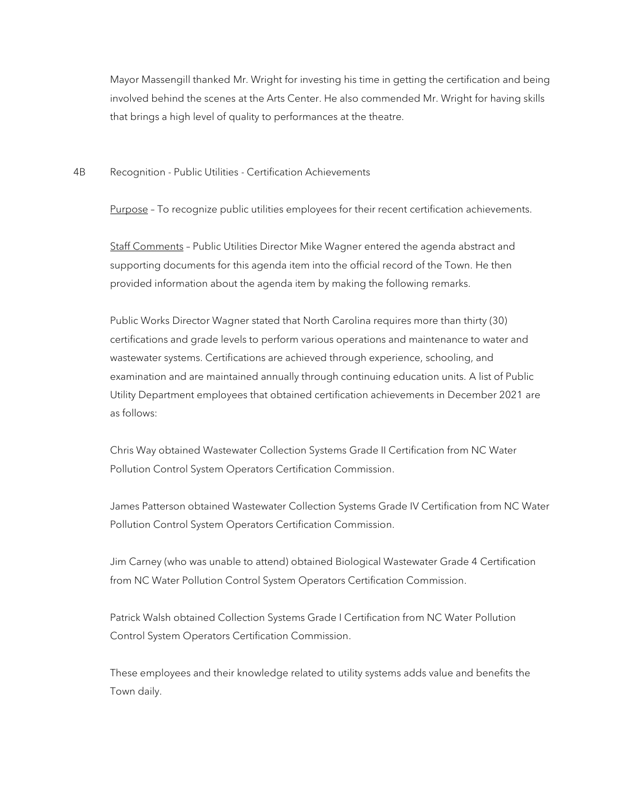Mayor Massengill thanked Mr. Wright for investing his time in getting the certification and being involved behind the scenes at the Arts Center. He also commended Mr. Wright for having skills that brings a high level of quality to performances at the theatre.

4B Recognition - Public Utilities - Certification Achievements

Purpose - To recognize public utilities employees for their recent certification achievements.

Staff Comments – Public Utilities Director Mike Wagner entered the agenda abstract and supporting documents for this agenda item into the official record of the Town. He then provided information about the agenda item by making the following remarks.

Public Works Director Wagner stated that North Carolina requires more than thirty (30) certifications and grade levels to perform various operations and maintenance to water and wastewater systems. Certifications are achieved through experience, schooling, and examination and are maintained annually through continuing education units. A list of Public Utility Department employees that obtained certification achievements in December 2021 are as follows:

Chris Way obtained Wastewater Collection Systems Grade II Certification from NC Water Pollution Control System Operators Certification Commission.

James Patterson obtained Wastewater Collection Systems Grade IV Certification from NC Water Pollution Control System Operators Certification Commission.

Jim Carney (who was unable to attend) obtained Biological Wastewater Grade 4 Certification from NC Water Pollution Control System Operators Certification Commission.

Patrick Walsh obtained Collection Systems Grade I Certification from NC Water Pollution Control System Operators Certification Commission.

These employees and their knowledge related to utility systems adds value and benefits the Town daily.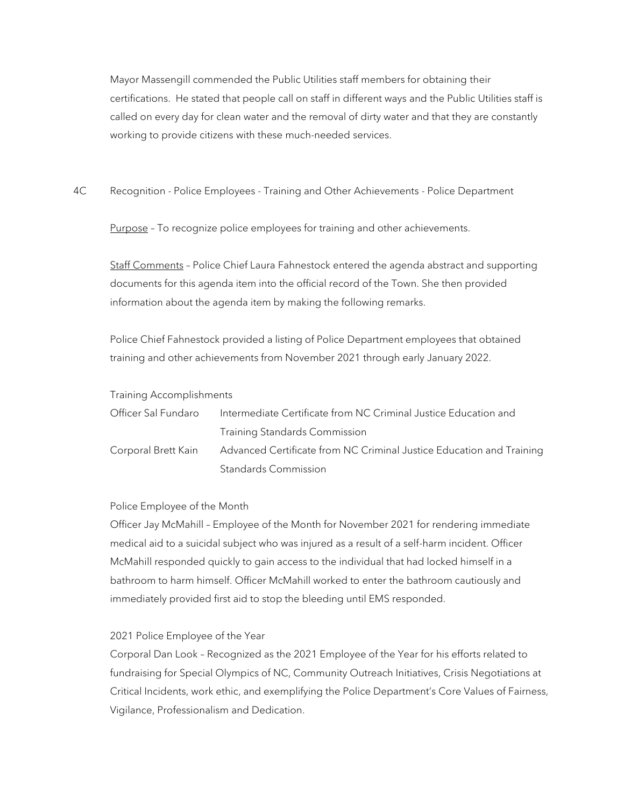Mayor Massengill commended the Public Utilities staff members for obtaining their certifications. He stated that people call on staff in different ways and the Public Utilities staff is called on every day for clean water and the removal of dirty water and that they are constantly working to provide citizens with these much-needed services.

4C Recognition - Police Employees - Training and Other Achievements - Police Department

Purpose - To recognize police employees for training and other achievements.

Staff Comments – Police Chief Laura Fahnestock entered the agenda abstract and supporting documents for this agenda item into the official record of the Town. She then provided information about the agenda item by making the following remarks.

Police Chief Fahnestock provided a listing of Police Department employees that obtained training and other achievements from November 2021 through early January 2022.

|  | <b>Training Accomplishments</b> |
|--|---------------------------------|
|  |                                 |

| Officer Sal Fundaro | Intermediate Certificate from NC Criminal Justice Education and      |
|---------------------|----------------------------------------------------------------------|
|                     | <b>Training Standards Commission</b>                                 |
| Corporal Brett Kain | Advanced Certificate from NC Criminal Justice Education and Training |
|                     | Standards Commission                                                 |

Police Employee of the Month

Officer Jay McMahill – Employee of the Month for November 2021 for rendering immediate medical aid to a suicidal subject who was injured as a result of a self-harm incident. Officer McMahill responded quickly to gain access to the individual that had locked himself in a bathroom to harm himself. Officer McMahill worked to enter the bathroom cautiously and immediately provided first aid to stop the bleeding until EMS responded.

## 2021 Police Employee of the Year

Corporal Dan Look – Recognized as the 2021 Employee of the Year for his efforts related to fundraising for Special Olympics of NC, Community Outreach Initiatives, Crisis Negotiations at Critical Incidents, work ethic, and exemplifying the Police Department's Core Values of Fairness, Vigilance, Professionalism and Dedication.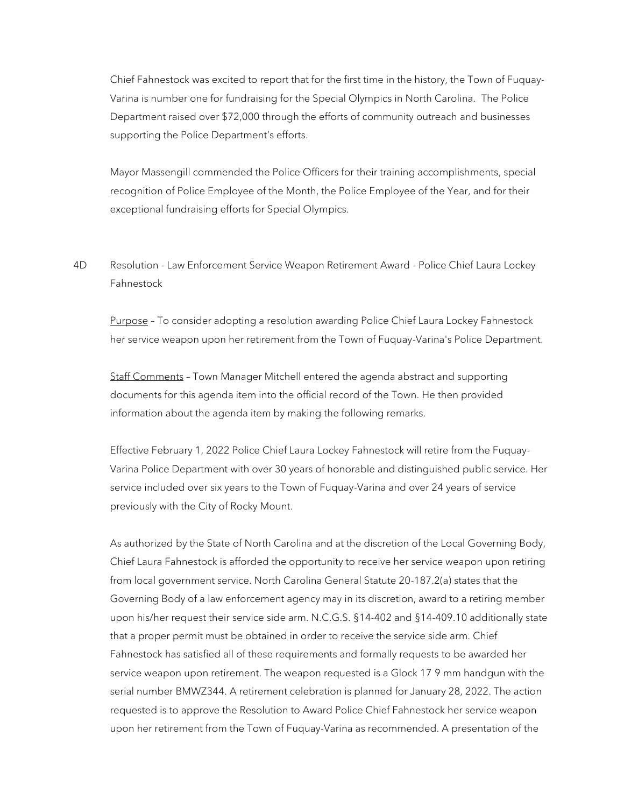Chief Fahnestock was excited to report that for the first time in the history, the Town of Fuquay-Varina is number one for fundraising for the Special Olympics in North Carolina. The Police Department raised over \$72,000 through the efforts of community outreach and businesses supporting the Police Department's efforts.

Mayor Massengill commended the Police Officers for their training accomplishments, special recognition of Police Employee of the Month, the Police Employee of the Year, and for their exceptional fundraising efforts for Special Olympics.

4D Resolution - Law Enforcement Service Weapon Retirement Award - Police Chief Laura Lockey Fahnestock

Purpose – To consider adopting a resolution awarding Police Chief Laura Lockey Fahnestock her service weapon upon her retirement from the Town of Fuquay-Varina's Police Department.

Staff Comments – Town Manager Mitchell entered the agenda abstract and supporting documents for this agenda item into the official record of the Town. He then provided information about the agenda item by making the following remarks.

Effective February 1, 2022 Police Chief Laura Lockey Fahnestock will retire from the Fuquay-Varina Police Department with over 30 years of honorable and distinguished public service. Her service included over six years to the Town of Fuquay-Varina and over 24 years of service previously with the City of Rocky Mount.

As authorized by the State of North Carolina and at the discretion of the Local Governing Body, Chief Laura Fahnestock is afforded the opportunity to receive her service weapon upon retiring from local government service. North Carolina General Statute 20-187.2(a) states that the Governing Body of a law enforcement agency may in its discretion, award to a retiring member upon his/her request their service side arm. N.C.G.S. §14-402 and §14-409.10 additionally state that a proper permit must be obtained in order to receive the service side arm. Chief Fahnestock has satisfied all of these requirements and formally requests to be awarded her service weapon upon retirement. The weapon requested is a Glock 17 9 mm handgun with the serial number BMWZ344. A retirement celebration is planned for January 28, 2022. The action requested is to approve the Resolution to Award Police Chief Fahnestock her service weapon upon her retirement from the Town of Fuquay-Varina as recommended. A presentation of the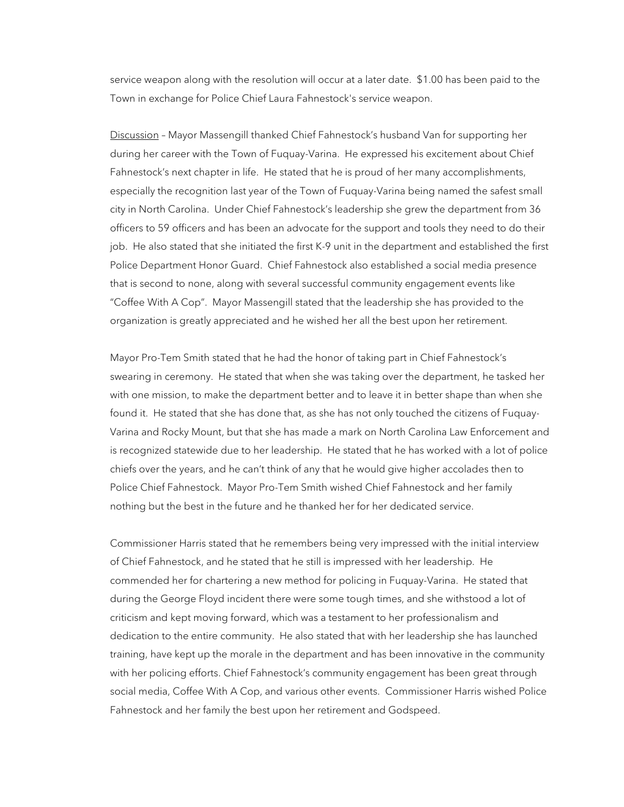service weapon along with the resolution will occur at a later date. \$1.00 has been paid to the Town in exchange for Police Chief Laura Fahnestock's service weapon.

Discussion – Mayor Massengill thanked Chief Fahnestock's husband Van for supporting her during her career with the Town of Fuquay-Varina. He expressed his excitement about Chief Fahnestock's next chapter in life. He stated that he is proud of her many accomplishments, especially the recognition last year of the Town of Fuquay-Varina being named the safest small city in North Carolina. Under Chief Fahnestock's leadership she grew the department from 36 officers to 59 officers and has been an advocate for the support and tools they need to do their job. He also stated that she initiated the first K-9 unit in the department and established the first Police Department Honor Guard. Chief Fahnestock also established a social media presence that is second to none, along with several successful community engagement events like "Coffee With A Cop". Mayor Massengill stated that the leadership she has provided to the organization is greatly appreciated and he wished her all the best upon her retirement.

Mayor Pro-Tem Smith stated that he had the honor of taking part in Chief Fahnestock's swearing in ceremony. He stated that when she was taking over the department, he tasked her with one mission, to make the department better and to leave it in better shape than when she found it. He stated that she has done that, as she has not only touched the citizens of Fuquay-Varina and Rocky Mount, but that she has made a mark on North Carolina Law Enforcement and is recognized statewide due to her leadership. He stated that he has worked with a lot of police chiefs over the years, and he can't think of any that he would give higher accolades then to Police Chief Fahnestock. Mayor Pro-Tem Smith wished Chief Fahnestock and her family nothing but the best in the future and he thanked her for her dedicated service.

Commissioner Harris stated that he remembers being very impressed with the initial interview of Chief Fahnestock, and he stated that he still is impressed with her leadership. He commended her for chartering a new method for policing in Fuquay-Varina. He stated that during the George Floyd incident there were some tough times, and she withstood a lot of criticism and kept moving forward, which was a testament to her professionalism and dedication to the entire community. He also stated that with her leadership she has launched training, have kept up the morale in the department and has been innovative in the community with her policing efforts. Chief Fahnestock's community engagement has been great through social media, Coffee With A Cop, and various other events. Commissioner Harris wished Police Fahnestock and her family the best upon her retirement and Godspeed.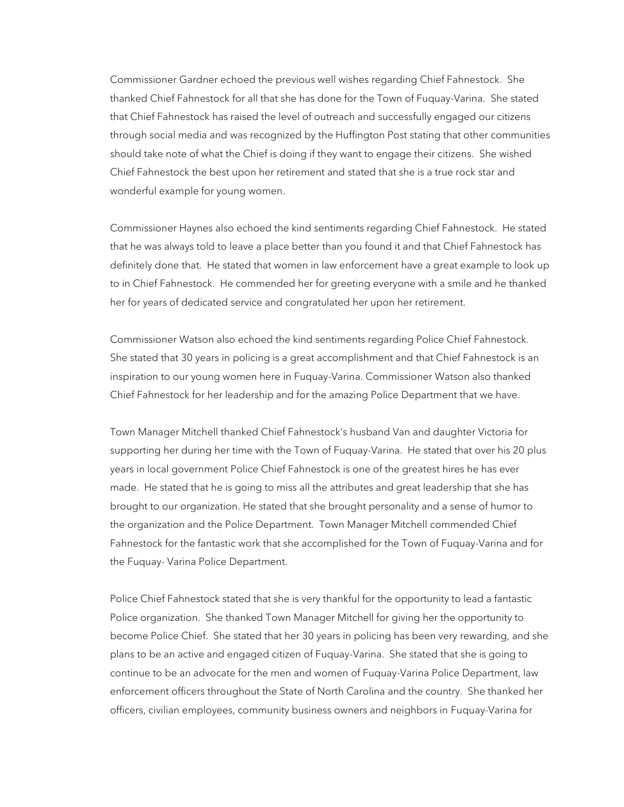Commissioner Gardner echoed the previous well wishes regarding Chief Fahnestock. She thanked Chief Fahnestock for all that she has done for the Town of Fuquay-Varina. She stated that Chief Fahnestock has raised the level of outreach and successfully engaged our citizens through social media and was recognized by the Huffington Post stating that other communities should take note of what the Chief is doing if they want to engage their citizens. She wished Chief Fahnestock the best upon her retirement and stated that she is a true rock star and wonderful example for young women.

Commissioner Haynes also echoed the kind sentiments regarding Chief Fahnestock. He stated that he was always told to leave a place better than you found it and that Chief Fahnestock has definitely done that. He stated that women in law enforcement have a great example to look up to in Chief Fahnestock. He commended her for greeting everyone with a smile and he thanked her for years of dedicated service and congratulated her upon her retirement.

Commissioner Watson also echoed the kind sentiments regarding Police Chief Fahnestock. She stated that 30 years in policing is a great accomplishment and that Chief Fahnestock is an inspiration to our young women here in Fuquay-Varina. Commissioner Watson also thanked Chief Fahnestock for her leadership and for the amazing Police Department that we have.

Town Manager Mitchell thanked Chief Fahnestock's husband Van and daughter Victoria for supporting her during her time with the Town of Fuquay-Varina. He stated that over his 20 plus years in local government Police Chief Fahnestock is one of the greatest hires he has ever made. He stated that he is going to miss all the attributes and great leadership that she has brought to our organization. He stated that she brought personality and a sense of humor to the organization and the Police Department. Town Manager Mitchell commended Chief Fahnestock for the fantastic work that she accomplished for the Town of Fuquay-Varina and for the Fuquay- Varina Police Department.

Police Chief Fahnestock stated that she is very thankful for the opportunity to lead a fantastic Police organization. She thanked Town Manager Mitchell for giving her the opportunity to become Police Chief. She stated that her 30 years in policing has been very rewarding, and she plans to be an active and engaged citizen of Fuquay-Varina. She stated that she is going to continue to be an advocate for the men and women of Fuquay-Varina Police Department, law enforcement officers throughout the State of North Carolina and the country. She thanked her officers, civilian employees, community business owners and neighbors in Fuquay-Varina for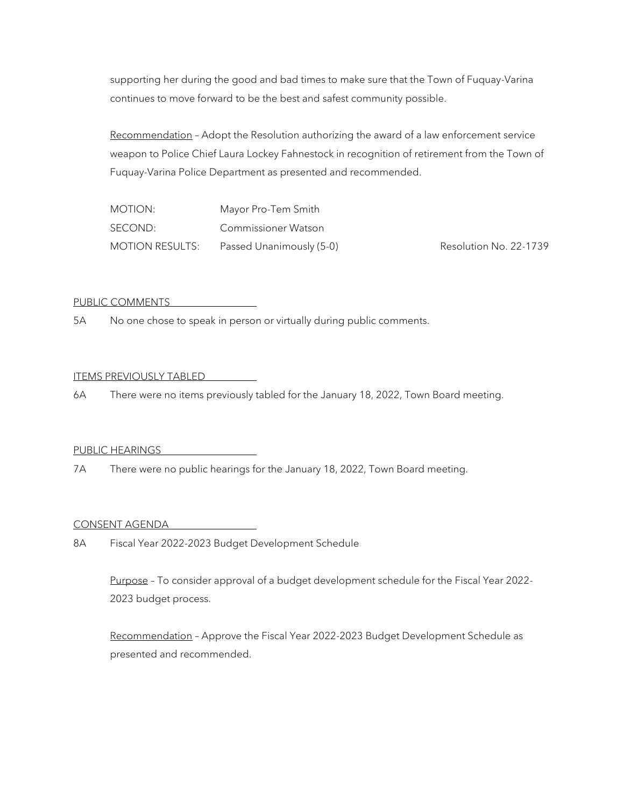supporting her during the good and bad times to make sure that the Town of Fuquay-Varina continues to move forward to be the best and safest community possible.

Recommendation – Adopt the Resolution authorizing the award of a law enforcement service weapon to Police Chief Laura Lockey Fahnestock in recognition of retirement from the Town of Fuquay-Varina Police Department as presented and recommended.

| MOTION:                | Mayor Pro-Tem Smith      |
|------------------------|--------------------------|
| SECOND:                | Commissioner Watson      |
| <b>MOTION RESULTS:</b> | Passed Unanimously (5-0) |

Resolution No. 22-1739

#### PUBLIC COMMENTS

5A No one chose to speak in person or virtually during public comments.

## ITEMS PREVIOUSLY TABLED

6A There were no items previously tabled for the January 18, 2022, Town Board meeting.

#### PUBLIC HEARINGS

7A There were no public hearings for the January 18, 2022, Town Board meeting.

#### CONSENT AGENDA

8A Fiscal Year 2022-2023 Budget Development Schedule

Purpose - To consider approval of a budget development schedule for the Fiscal Year 2022-2023 budget process.

Recommendation – Approve the Fiscal Year 2022-2023 Budget Development Schedule as presented and recommended.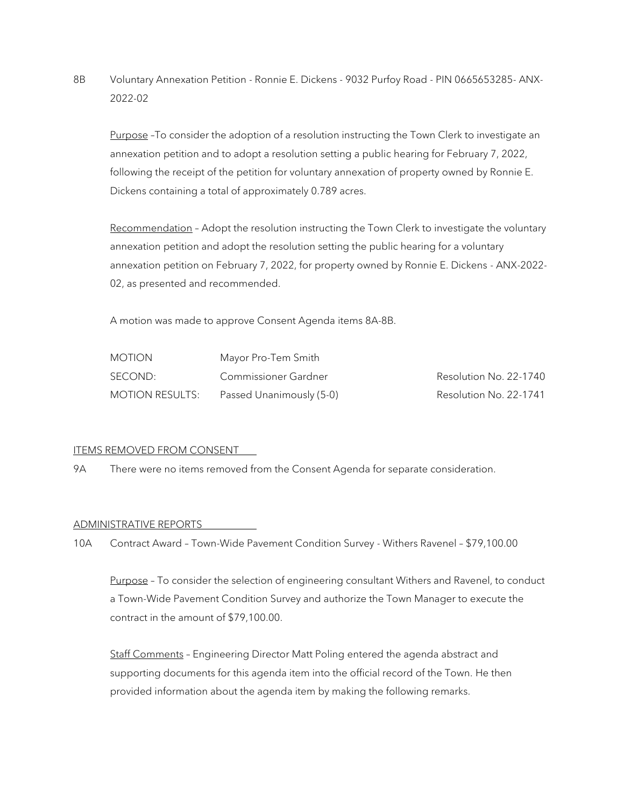8B Voluntary Annexation Petition - Ronnie E. Dickens - 9032 Purfoy Road - PIN 0665653285- ANX-2022-02

Purpose -To consider the adoption of a resolution instructing the Town Clerk to investigate an annexation petition and to adopt a resolution setting a public hearing for February 7, 2022, following the receipt of the petition for voluntary annexation of property owned by Ronnie E. Dickens containing a total of approximately 0.789 acres.

Recommendation - Adopt the resolution instructing the Town Clerk to investigate the voluntary annexation petition and adopt the resolution setting the public hearing for a voluntary annexation petition on February 7, 2022, for property owned by Ronnie E. Dickens - ANX-2022- 02, as presented and recommended.

A motion was made to approve Consent Agenda items 8A-8B.

| <b>MOTION</b>          | Mayor Pro-Tem Smith      |                        |
|------------------------|--------------------------|------------------------|
| SECOND:                | Commissioner Gardner     | Resolution No. 22-1740 |
| <b>MOTION RESULTS:</b> | Passed Unanimously (5-0) | Resolution No. 22-1741 |

## ITEMS REMOVED FROM CONSENT

9A There were no items removed from the Consent Agenda for separate consideration.

## ADMINISTRATIVE REPORTS

10A Contract Award – Town-Wide Pavement Condition Survey - Withers Ravenel – \$79,100.00

Purpose – To consider the selection of engineering consultant Withers and Ravenel, to conduct a Town-Wide Pavement Condition Survey and authorize the Town Manager to execute the contract in the amount of \$79,100.00.

Staff Comments – Engineering Director Matt Poling entered the agenda abstract and supporting documents for this agenda item into the official record of the Town. He then provided information about the agenda item by making the following remarks.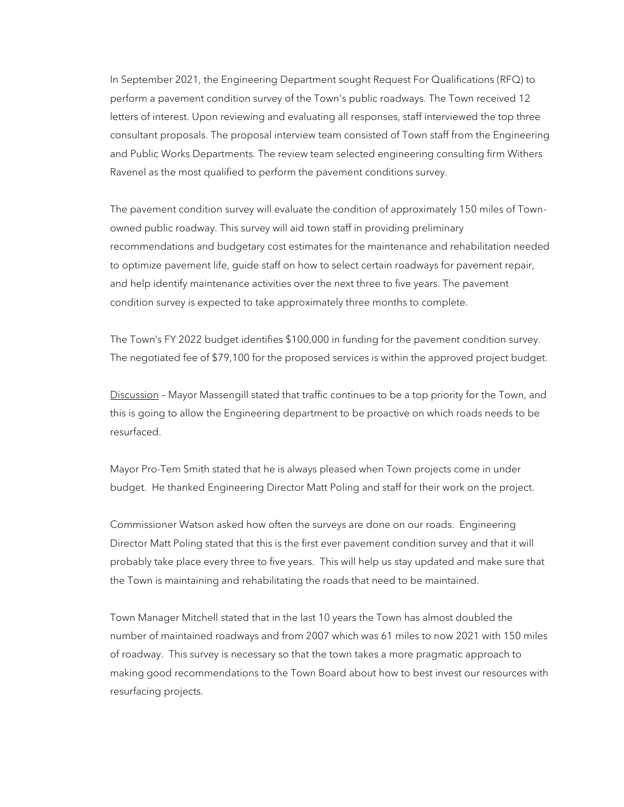In September 2021, the Engineering Department sought Request For Qualifications (RFQ) to perform a pavement condition survey of the Town's public roadways. The Town received 12 letters of interest. Upon reviewing and evaluating all responses, staff interviewed the top three consultant proposals. The proposal interview team consisted of Town staff from the Engineering and Public Works Departments. The review team selected engineering consulting firm Withers Ravenel as the most qualified to perform the pavement conditions survey.

The pavement condition survey will evaluate the condition of approximately 150 miles of Townowned public roadway. This survey will aid town staff in providing preliminary recommendations and budgetary cost estimates for the maintenance and rehabilitation needed to optimize pavement life, guide staff on how to select certain roadways for pavement repair, and help identify maintenance activities over the next three to five years. The pavement condition survey is expected to take approximately three months to complete.

The Town's FY 2022 budget identifies \$100,000 in funding for the pavement condition survey. The negotiated fee of \$79,100 for the proposed services is within the approved project budget.

Discussion - Mayor Massengill stated that traffic continues to be a top priority for the Town, and this is going to allow the Engineering department to be proactive on which roads needs to be resurfaced.

Mayor Pro-Tem Smith stated that he is always pleased when Town projects come in under budget. He thanked Engineering Director Matt Poling and staff for their work on the project.

Commissioner Watson asked how often the surveys are done on our roads. Engineering Director Matt Poling stated that this is the first ever pavement condition survey and that it will probably take place every three to five years. This will help us stay updated and make sure that the Town is maintaining and rehabilitating the roads that need to be maintained.

Town Manager Mitchell stated that in the last 10 years the Town has almost doubled the number of maintained roadways and from 2007 which was 61 miles to now 2021 with 150 miles of roadway. This survey is necessary so that the town takes a more pragmatic approach to making good recommendations to the Town Board about how to best invest our resources with resurfacing projects.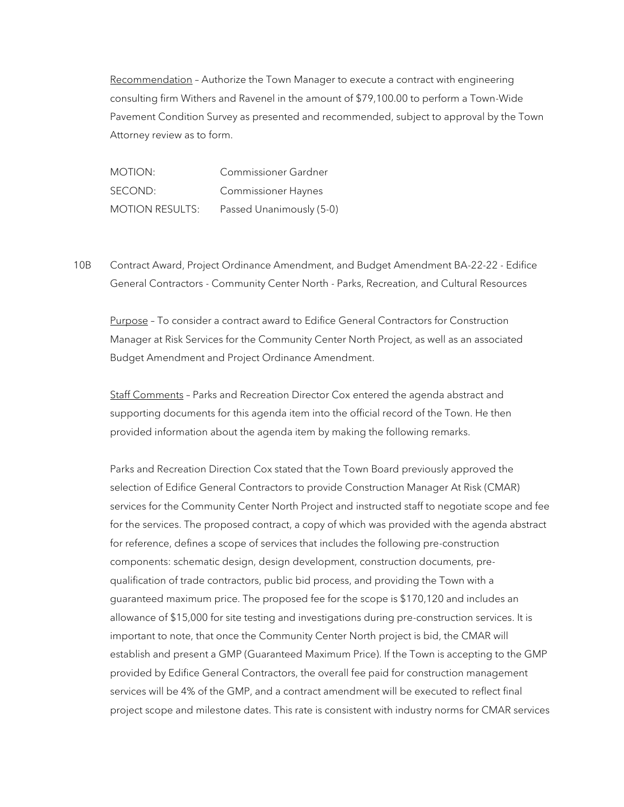Recommendation – Authorize the Town Manager to execute a contract with engineering consulting firm Withers and Ravenel in the amount of \$79,100.00 to perform a Town-Wide Pavement Condition Survey as presented and recommended, subject to approval by the Town Attorney review as to form.

MOTION: Commissioner Gardner SECOND: Commissioner Haynes MOTION RESULTS: Passed Unanimously (5-0)

10B Contract Award, Project Ordinance Amendment, and Budget Amendment BA-22-22 - Edifice General Contractors - Community Center North - Parks, Recreation, and Cultural Resources

Purpose – To consider a contract award to Edifice General Contractors for Construction Manager at Risk Services for the Community Center North Project, as well as an associated Budget Amendment and Project Ordinance Amendment.

Staff Comments - Parks and Recreation Director Cox entered the agenda abstract and supporting documents for this agenda item into the official record of the Town. He then provided information about the agenda item by making the following remarks.

Parks and Recreation Direction Cox stated that the Town Board previously approved the selection of Edifice General Contractors to provide Construction Manager At Risk (CMAR) services for the Community Center North Project and instructed staff to negotiate scope and fee for the services. The proposed contract, a copy of which was provided with the agenda abstract for reference, defines a scope of services that includes the following pre-construction components: schematic design, design development, construction documents, prequalification of trade contractors, public bid process, and providing the Town with a guaranteed maximum price. The proposed fee for the scope is \$170,120 and includes an allowance of \$15,000 for site testing and investigations during pre-construction services. It is important to note, that once the Community Center North project is bid, the CMAR will establish and present a GMP (Guaranteed Maximum Price). If the Town is accepting to the GMP provided by Edifice General Contractors, the overall fee paid for construction management services will be 4% of the GMP, and a contract amendment will be executed to reflect final project scope and milestone dates. This rate is consistent with industry norms for CMAR services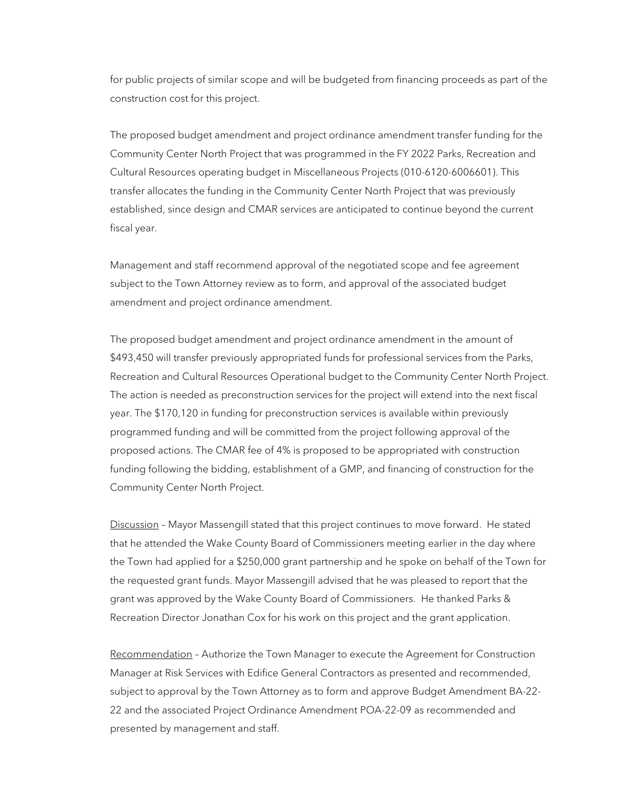for public projects of similar scope and will be budgeted from financing proceeds as part of the construction cost for this project.

The proposed budget amendment and project ordinance amendment transfer funding for the Community Center North Project that was programmed in the FY 2022 Parks, Recreation and Cultural Resources operating budget in Miscellaneous Projects (010-6120-6006601). This transfer allocates the funding in the Community Center North Project that was previously established, since design and CMAR services are anticipated to continue beyond the current fiscal year.

Management and staff recommend approval of the negotiated scope and fee agreement subject to the Town Attorney review as to form, and approval of the associated budget amendment and project ordinance amendment.

The proposed budget amendment and project ordinance amendment in the amount of \$493,450 will transfer previously appropriated funds for professional services from the Parks, Recreation and Cultural Resources Operational budget to the Community Center North Project. The action is needed as preconstruction services for the project will extend into the next fiscal year. The \$170,120 in funding for preconstruction services is available within previously programmed funding and will be committed from the project following approval of the proposed actions. The CMAR fee of 4% is proposed to be appropriated with construction funding following the bidding, establishment of a GMP, and financing of construction for the Community Center North Project.

Discussion - Mayor Massengill stated that this project continues to move forward. He stated that he attended the Wake County Board of Commissioners meeting earlier in the day where the Town had applied for a \$250,000 grant partnership and he spoke on behalf of the Town for the requested grant funds. Mayor Massengill advised that he was pleased to report that the grant was approved by the Wake County Board of Commissioners. He thanked Parks & Recreation Director Jonathan Cox for his work on this project and the grant application.

Recommendation – Authorize the Town Manager to execute the Agreement for Construction Manager at Risk Services with Edifice General Contractors as presented and recommended, subject to approval by the Town Attorney as to form and approve Budget Amendment BA-22- 22 and the associated Project Ordinance Amendment POA-22-09 as recommended and presented by management and staff.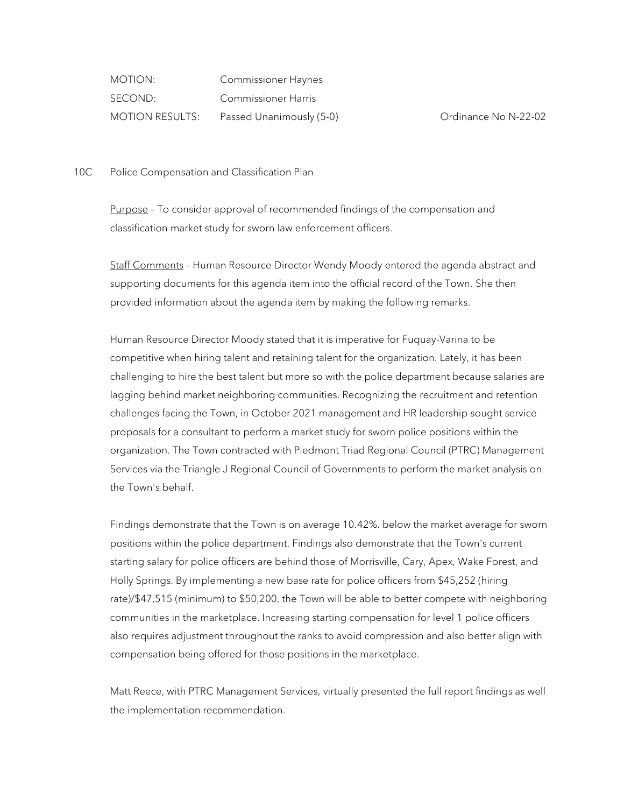MOTION: Commissioner Haynes SECOND: Commissioner Harris MOTION RESULTS: Passed Unanimously (5-0) Crdinance No N-22-02

10C Police Compensation and Classification Plan

Purpose – To consider approval of recommended findings of the compensation and classification market study for sworn law enforcement officers.

Staff Comments – Human Resource Director Wendy Moody entered the agenda abstract and supporting documents for this agenda item into the official record of the Town. She then provided information about the agenda item by making the following remarks.

Human Resource Director Moody stated that it is imperative for Fuquay-Varina to be competitive when hiring talent and retaining talent for the organization. Lately, it has been challenging to hire the best talent but more so with the police department because salaries are lagging behind market neighboring communities. Recognizing the recruitment and retention challenges facing the Town, in October 2021 management and HR leadership sought service proposals for a consultant to perform a market study for sworn police positions within the organization. The Town contracted with Piedmont Triad Regional Council (PTRC) Management Services via the Triangle J Regional Council of Governments to perform the market analysis on the Town's behalf.

Findings demonstrate that the Town is on average 10.42%. below the market average for sworn positions within the police department. Findings also demonstrate that the Town's current starting salary for police officers are behind those of Morrisville, Cary, Apex, Wake Forest, and Holly Springs. By implementing a new base rate for police officers from \$45,252 (hiring rate)/\$47,515 (minimum) to \$50,200, the Town will be able to better compete with neighboring communities in the marketplace. Increasing starting compensation for level 1 police officers also requires adjustment throughout the ranks to avoid compression and also better align with compensation being offered for those positions in the marketplace.

Matt Reece, with PTRC Management Services, virtually presented the full report findings as well the implementation recommendation.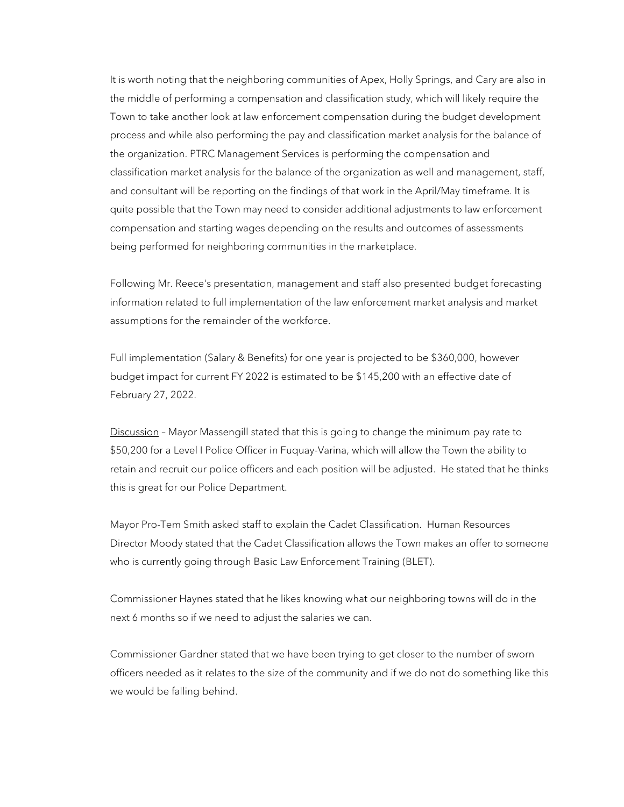It is worth noting that the neighboring communities of Apex, Holly Springs, and Cary are also in the middle of performing a compensation and classification study, which will likely require the Town to take another look at law enforcement compensation during the budget development process and while also performing the pay and classification market analysis for the balance of the organization. PTRC Management Services is performing the compensation and classification market analysis for the balance of the organization as well and management, staff, and consultant will be reporting on the findings of that work in the April/May timeframe. It is quite possible that the Town may need to consider additional adjustments to law enforcement compensation and starting wages depending on the results and outcomes of assessments being performed for neighboring communities in the marketplace.

Following Mr. Reece's presentation, management and staff also presented budget forecasting information related to full implementation of the law enforcement market analysis and market assumptions for the remainder of the workforce.

Full implementation (Salary & Benefits) for one year is projected to be \$360,000, however budget impact for current FY 2022 is estimated to be \$145,200 with an effective date of February 27, 2022.

Discussion - Mayor Massengill stated that this is going to change the minimum pay rate to \$50,200 for a Level I Police Officer in Fuquay-Varina, which will allow the Town the ability to retain and recruit our police officers and each position will be adjusted. He stated that he thinks this is great for our Police Department.

Mayor Pro-Tem Smith asked staff to explain the Cadet Classification. Human Resources Director Moody stated that the Cadet Classification allows the Town makes an offer to someone who is currently going through Basic Law Enforcement Training (BLET).

Commissioner Haynes stated that he likes knowing what our neighboring towns will do in the next 6 months so if we need to adjust the salaries we can.

Commissioner Gardner stated that we have been trying to get closer to the number of sworn officers needed as it relates to the size of the community and if we do not do something like this we would be falling behind.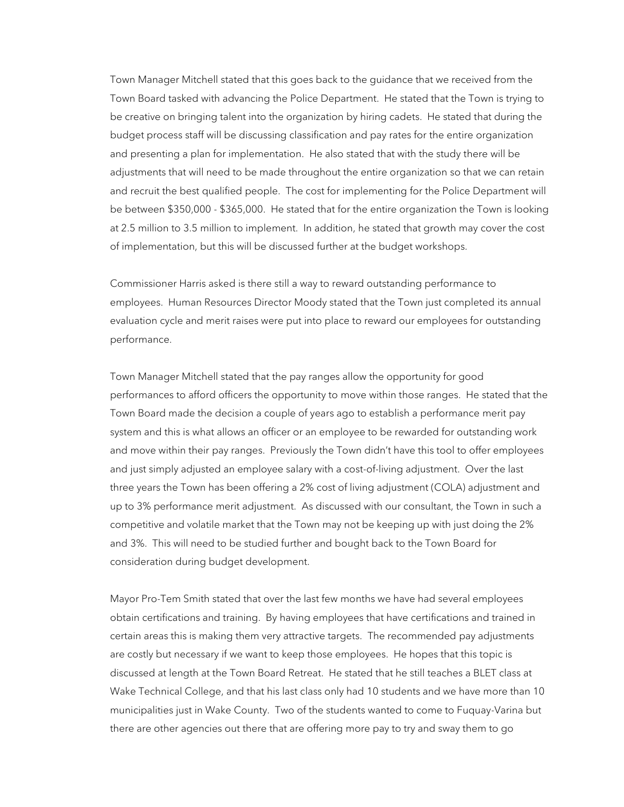Town Manager Mitchell stated that this goes back to the guidance that we received from the Town Board tasked with advancing the Police Department. He stated that the Town is trying to be creative on bringing talent into the organization by hiring cadets. He stated that during the budget process staff will be discussing classification and pay rates for the entire organization and presenting a plan for implementation. He also stated that with the study there will be adjustments that will need to be made throughout the entire organization so that we can retain and recruit the best qualified people. The cost for implementing for the Police Department will be between \$350,000 - \$365,000. He stated that for the entire organization the Town is looking at 2.5 million to 3.5 million to implement. In addition, he stated that growth may cover the cost of implementation, but this will be discussed further at the budget workshops.

Commissioner Harris asked is there still a way to reward outstanding performance to employees. Human Resources Director Moody stated that the Town just completed its annual evaluation cycle and merit raises were put into place to reward our employees for outstanding performance.

Town Manager Mitchell stated that the pay ranges allow the opportunity for good performances to afford officers the opportunity to move within those ranges. He stated that the Town Board made the decision a couple of years ago to establish a performance merit pay system and this is what allows an officer or an employee to be rewarded for outstanding work and move within their pay ranges. Previously the Town didn't have this tool to offer employees and just simply adjusted an employee salary with a cost-of-living adjustment. Over the last three years the Town has been offering a 2% cost of living adjustment (COLA) adjustment and up to 3% performance merit adjustment. As discussed with our consultant, the Town in such a competitive and volatile market that the Town may not be keeping up with just doing the 2% and 3%. This will need to be studied further and bought back to the Town Board for consideration during budget development.

Mayor Pro-Tem Smith stated that over the last few months we have had several employees obtain certifications and training. By having employees that have certifications and trained in certain areas this is making them very attractive targets. The recommended pay adjustments are costly but necessary if we want to keep those employees. He hopes that this topic is discussed at length at the Town Board Retreat. He stated that he still teaches a BLET class at Wake Technical College, and that his last class only had 10 students and we have more than 10 municipalities just in Wake County. Two of the students wanted to come to Fuquay-Varina but there are other agencies out there that are offering more pay to try and sway them to go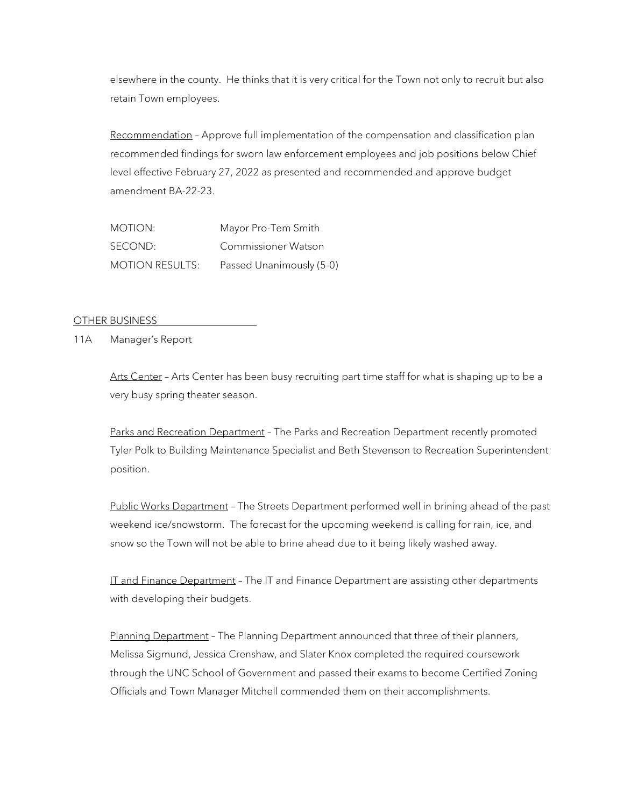elsewhere in the county. He thinks that it is very critical for the Town not only to recruit but also retain Town employees.

Recommendation – Approve full implementation of the compensation and classification plan recommended findings for sworn law enforcement employees and job positions below Chief level effective February 27, 2022 as presented and recommended and approve budget amendment BA-22-23.

MOTION: Mayor Pro-Tem Smith SECOND: Commissioner Watson MOTION RESULTS: Passed Unanimously (5-0)

OTHER BUSINESS

11A Manager's Report

Arts Center – Arts Center has been busy recruiting part time staff for what is shaping up to be a very busy spring theater season.

Parks and Recreation Department – The Parks and Recreation Department recently promoted Tyler Polk to Building Maintenance Specialist and Beth Stevenson to Recreation Superintendent position.

Public Works Department – The Streets Department performed well in brining ahead of the past weekend ice/snowstorm. The forecast for the upcoming weekend is calling for rain, ice, and snow so the Town will not be able to brine ahead due to it being likely washed away.

IT and Finance Department - The IT and Finance Department are assisting other departments with developing their budgets.

Planning Department - The Planning Department announced that three of their planners, Melissa Sigmund, Jessica Crenshaw, and Slater Knox completed the required coursework through the UNC School of Government and passed their exams to become Certified Zoning Officials and Town Manager Mitchell commended them on their accomplishments.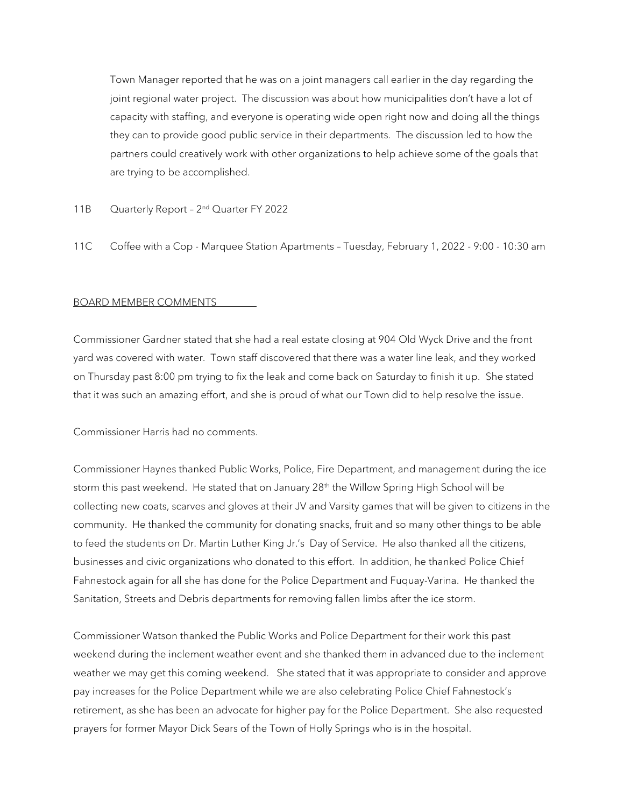Town Manager reported that he was on a joint managers call earlier in the day regarding the joint regional water project. The discussion was about how municipalities don't have a lot of capacity with staffing, and everyone is operating wide open right now and doing all the things they can to provide good public service in their departments. The discussion led to how the partners could creatively work with other organizations to help achieve some of the goals that are trying to be accomplished.

- 11B Ouarterly Report 2<sup>nd</sup> Quarter FY 2022
- 11C Coffee with a Cop Marquee Station Apartments Tuesday, February 1, 2022 9:00 10:30 am

### BOARD MEMBER COMMENTS

Commissioner Gardner stated that she had a real estate closing at 904 Old Wyck Drive and the front yard was covered with water. Town staff discovered that there was a water line leak, and they worked on Thursday past 8:00 pm trying to fix the leak and come back on Saturday to finish it up. She stated that it was such an amazing effort, and she is proud of what our Town did to help resolve the issue.

Commissioner Harris had no comments.

Commissioner Haynes thanked Public Works, Police, Fire Department, and management during the ice storm this past weekend. He stated that on January  $28<sup>th</sup>$  the Willow Spring High School will be collecting new coats, scarves and gloves at their JV and Varsity games that will be given to citizens in the community. He thanked the community for donating snacks, fruit and so many other things to be able to feed the students on Dr. Martin Luther King Jr.'s Day of Service. He also thanked all the citizens, businesses and civic organizations who donated to this effort. In addition, he thanked Police Chief Fahnestock again for all she has done for the Police Department and Fuquay-Varina. He thanked the Sanitation, Streets and Debris departments for removing fallen limbs after the ice storm.

Commissioner Watson thanked the Public Works and Police Department for their work this past weekend during the inclement weather event and she thanked them in advanced due to the inclement weather we may get this coming weekend. She stated that it was appropriate to consider and approve pay increases for the Police Department while we are also celebrating Police Chief Fahnestock's retirement, as she has been an advocate for higher pay for the Police Department. She also requested prayers for former Mayor Dick Sears of the Town of Holly Springs who is in the hospital.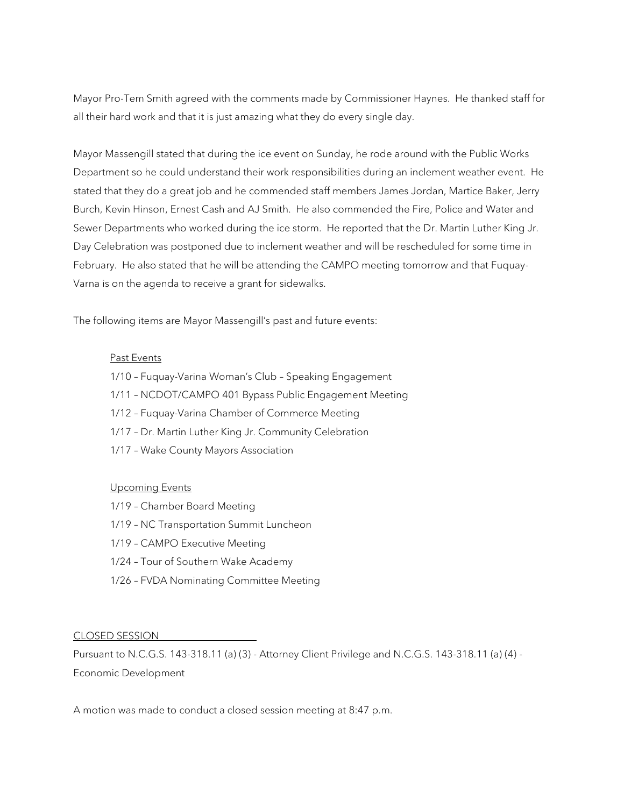Mayor Pro-Tem Smith agreed with the comments made by Commissioner Haynes. He thanked staff for all their hard work and that it is just amazing what they do every single day.

Mayor Massengill stated that during the ice event on Sunday, he rode around with the Public Works Department so he could understand their work responsibilities during an inclement weather event. He stated that they do a great job and he commended staff members James Jordan, Martice Baker, Jerry Burch, Kevin Hinson, Ernest Cash and AJ Smith. He also commended the Fire, Police and Water and Sewer Departments who worked during the ice storm. He reported that the Dr. Martin Luther King Jr. Day Celebration was postponed due to inclement weather and will be rescheduled for some time in February. He also stated that he will be attending the CAMPO meeting tomorrow and that Fuquay-Varna is on the agenda to receive a grant for sidewalks.

The following items are Mayor Massengill's past and future events:

#### Past Events

- 1/10 Fuquay-Varina Woman's Club Speaking Engagement
- 1/11 NCDOT/CAMPO 401 Bypass Public Engagement Meeting
- 1/12 Fuquay-Varina Chamber of Commerce Meeting
- 1/17 Dr. Martin Luther King Jr. Community Celebration
- 1/17 Wake County Mayors Association

#### Upcoming Events

- 1/19 Chamber Board Meeting
- 1/19 NC Transportation Summit Luncheon
- 1/19 CAMPO Executive Meeting
- 1/24 Tour of Southern Wake Academy
- 1/26 FVDA Nominating Committee Meeting

CLOSED SESSION

Pursuant to N.C.G.S. 143-318.11 (a) (3) - Attorney Client Privilege and N.C.G.S. 143-318.11 (a) (4) - Economic Development

A motion was made to conduct a closed session meeting at 8:47 p.m.